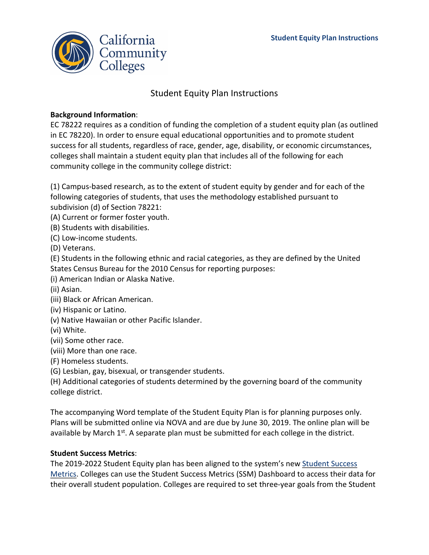

## Student Equity Plan Instructions

## **Background Information**:

EC 78222 requires as a condition of funding the completion of a student equity plan (as outlined in EC 78220). In order to ensure equal educational opportunities and to promote student success for all students, regardless of race, gender, age, disability, or economic circumstances, colleges shall maintain a student equity plan that includes all of the following for each community college in the community college district:

(1) Campus-based research, as to the extent of student equity by gender and for each of the following categories of students, that uses the methodology established pursuant to subdivision (d) of Section 78221:

(A) Current or former foster youth.

(B) Students with disabilities.

(C) Low-income students.

(D) Veterans.

(E) Students in the following ethnic and racial categories, as they are defined by the United States Census Bureau for the 2010 Census for reporting purposes:

(i) American Indian or Alaska Native.

(ii) Asian.

(iii) Black or African American.

(iv) Hispanic or Latino.

(v) Native Hawaiian or other Pacific Islander.

(vi) White.

(vii) Some other race.

(viii) More than one race.

(F) Homeless students.

(G) Lesbian, gay, bisexual, or transgender students.

(H) Additional categories of students determined by the governing board of the community college district.

The accompanying Word template of the Student Equity Plan is for planning purposes only. Plans will be submitted online via NOVA and are due by June 30, 2019. The online plan will be available by March  $1^{st}$ . A separate plan must be submitted for each college in the district.

## **Student Success Metrics**:

The 2019-2022 Student Equity plan has been aligned to the system's new [Student Success](https://www.calpassplus.org/LaunchBoard/Student-Success-Metrics.aspx)  [Metrics.](https://www.calpassplus.org/LaunchBoard/Student-Success-Metrics.aspx) Colleges can use the Student Success Metrics (SSM) Dashboard to access their data for their overall student population. Colleges are required to set three-year goals from the Student